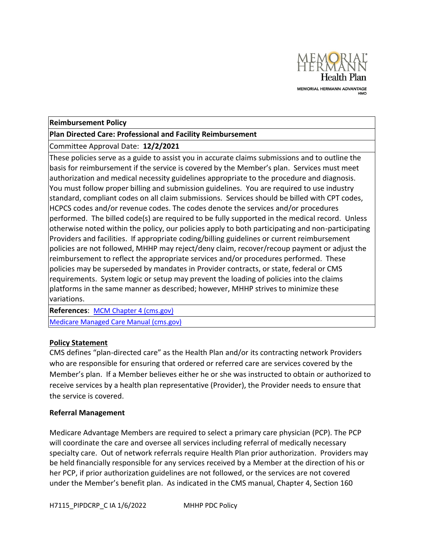

## **Reimbursement Policy**

## **Plan Directed Care: Professional and Facility Reimbursement**

Committee Approval Date: **12/2/2021** 

These policies serve as a guide to assist you in accurate claims submissions and to outline the basis for reimbursement if the service is covered by the Member's plan. Services must meet authorization and medical necessity guidelines appropriate to the procedure and diagnosis. You must follow proper billing and submission guidelines. You are required to use industry standard, compliant codes on all claim submissions. Services should be billed with CPT codes, HCPCS codes and/or revenue codes. The codes denote the services and/or procedures performed. The billed code(s) are required to be fully supported in the medical record. Unless otherwise noted within the policy, our policies apply to both participating and non-participating Providers and facilities. If appropriate coding/billing guidelines or current reimbursement policies are not followed, MHHP may reject/deny claim, recover/recoup payment or adjust the reimbursement to reflect the appropriate services and/or procedures performed. These policies may be superseded by mandates in Provider contracts, or state, federal or CMS requirements. System logic or setup may prevent the loading of policies into the claims platforms in the same manner as described; however, MHHP strives to minimize these variations.

**References**: [MCM Chapter 4 \(cms.gov\)](https://www.cms.gov/Regulations-and-Guidance/Guidance/Manuals/Downloads/mc86c04.pdf)

[Medicare Managed Care Manual \(cms.gov\)](https://www.cms.gov/Regulations-and-Guidance/Guidance/Manuals/downloads/mc86c11.pdf)

## **Policy Statement**

CMS defines "plan-directed care" as the Health Plan and/or its contracting network Providers who are responsible for ensuring that ordered or referred care are services covered by the Member's plan. If a Member believes either he or she was instructed to obtain or authorized to receive services by a health plan representative (Provider), the Provider needs to ensure that the service is covered.

## **Referral Management**

Medicare Advantage Members are required to select a primary care physician (PCP). The PCP will coordinate the care and oversee all services including referral of medically necessary specialty care. Out of network referrals require Health Plan prior authorization. Providers may be held financially responsible for any services received by a Member at the direction of his or her PCP, if prior authorization guidelines are not followed, or the services are not covered under the Member's benefit plan. As indicated in the CMS manual, Chapter 4, Section 160